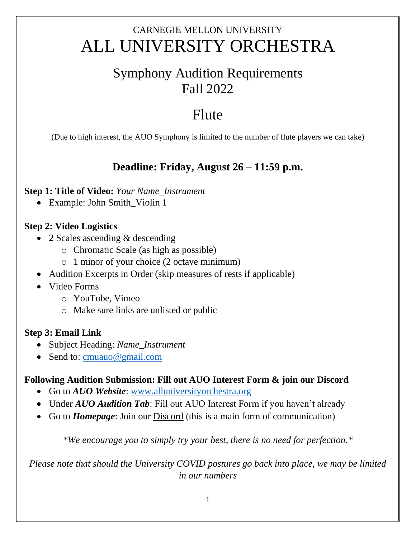## CARNEGIE MELLON UNIVERSITY ALL UNIVERSITY ORCHESTRA

### Symphony Audition Requirements Fall 2022

# Flute

(Due to high interest, the AUO Symphony is limited to the number of flute players we can take)

### **Deadline: Friday, August 26 – 11:59 p.m.**

#### **Step 1: Title of Video:** *Your Name\_Instrument*

• Example: John Smith\_Violin 1

#### **Step 2: Video Logistics**

- 2 Scales ascending & descending
	- o Chromatic Scale (as high as possible)
	- o 1 minor of your choice (2 octave minimum)
- Audition Excerpts in Order (skip measures of rests if applicable)
- Video Forms
	- o YouTube, Vimeo
	- o Make sure links are unlisted or public

#### **Step 3: Email Link**

- Subject Heading: *Name\_Instrument*
- Send to: [cmuauo@gmail.com](mailto:cmuauo@gmail.com)

#### **Following Audition Submission: Fill out AUO Interest Form & join our Discord**

- Go to *AUO Website*: [www.alluniversityorchestra.org](http://www.alluniversityorchestra.org/)
- Under *AUO Audition Tab*: Fill out AUO Interest Form if you haven't already
- Go to *Homepage*: Join our Discord (this is a main form of communication)

*\*We encourage you to simply try your best, there is no need for perfection.\**

*Please note that should the University COVID postures go back into place, we may be limited in our numbers*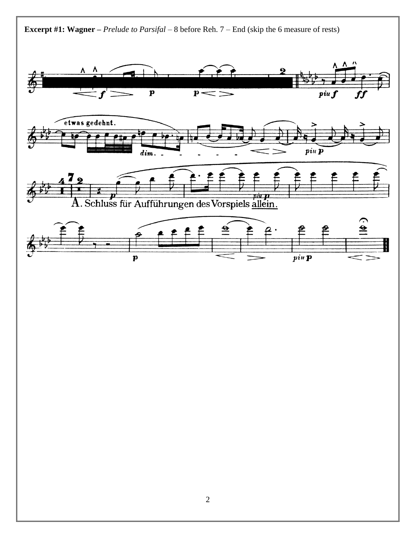

**Excerpt #1: Wagner –** *Prelude to Parsifal –* 8 before Reh. 7 – End (skip the 6 measure of rests)